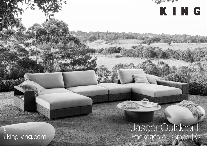# Jasper Outdoor ||<br>| Packages A1 Grand | C

AN ARRAIGNMENT OF THE

KING

## **Exingliving.com**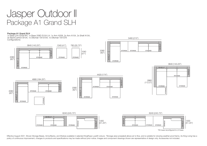### Jasper Outdoor II Package A1 Grand SLH

#### Package A1 Grand SLH

1x Base 234 S208 RH, 1x Base 208D S104 LH, 1x Arm A208, 2x Arm A104, 2x Shelf A104, 3x BackCushion B104, 1x Ottoman 104 S104, 1x Ottoman 104 S78 Configurations:



5460 (215")

Effective August 2021. Woven Storage Bases, Arms/Backs, and Shelves available in selected KingRope LuxeW colours. \*Storage area (unsealed) allows air to flow, and is suitable for stowing weather-proof items. As King Living policy of continuous improvement, changes to products and specifications may be made without prior notice. Images and component drawings shown are representative of design only. Accessories not included.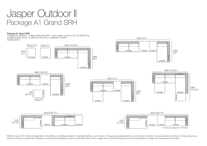### Jasper Outdoor II Package A1 Grand SRH

#### Package A1 Grand SRH

1x Base 234 S208 LH, 1x Base 208D S104 RH, 1x Arm A208, 2x Arm A104, 2x Shelf A104, 3x BackCushion B104, 1x Ottoman 104 S104, 1x Ottoman 104 S78 Configurations:



5460 (215")

Effective August 2021, Woven Storage Bases, Arms/Backs, and Shelves available in selected KingRope LuxeW colours, \*Storage area (unsealed) allows air to flow, and is suitable for stowing weather-proof items. As King Living policy of continuous improvement, changes to products and specifications may be made without prior notice. Images and component drawings shown are representative of design only. Accessories not included.